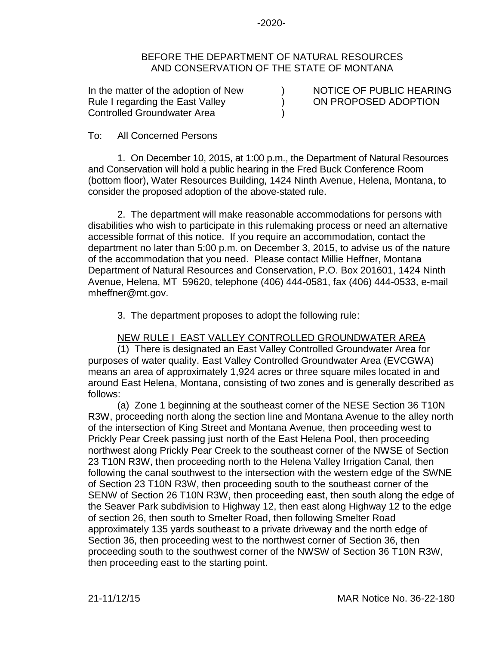-2020-

## BEFORE THE DEPARTMENT OF NATURAL RESOURCES AND CONSERVATION OF THE STATE OF MONTANA

) ) )

In the matter of the adoption of New Rule I regarding the East Valley Controlled Groundwater Area

NOTICE OF PUBLIC HEARING ON PROPOSED ADOPTION

## To: All Concerned Persons

1. On December 10, 2015, at 1:00 p.m., the Department of Natural Resources and Conservation will hold a public hearing in the Fred Buck Conference Room (bottom floor), Water Resources Building, 1424 Ninth Avenue, Helena, Montana, to consider the proposed adoption of the above-stated rule.

2. The department will make reasonable accommodations for persons with disabilities who wish to participate in this rulemaking process or need an alternative accessible format of this notice. If you require an accommodation, contact the department no later than 5:00 p.m. on December 3, 2015, to advise us of the nature of the accommodation that you need. Please contact Millie Heffner, Montana Department of Natural Resources and Conservation, P.O. Box 201601, 1424 Ninth Avenue, Helena, MT 59620, telephone (406) 444-0581, fax (406) 444-0533, e-mail mheffner@mt.gov.

3. The department proposes to adopt the following rule:

## NEW RULE I EAST VALLEY CONTROLLED GROUNDWATER AREA

(1) There is designated an East Valley Controlled Groundwater Area for purposes of water quality. East Valley Controlled Groundwater Area (EVCGWA) means an area of approximately 1,924 acres or three square miles located in and around East Helena, Montana, consisting of two zones and is generally described as follows:

(a) Zone 1 beginning at the southeast corner of the NESE Section 36 T10N R3W, proceeding north along the section line and Montana Avenue to the alley north of the intersection of King Street and Montana Avenue, then proceeding west to Prickly Pear Creek passing just north of the East Helena Pool, then proceeding northwest along Prickly Pear Creek to the southeast corner of the NWSE of Section 23 T10N R3W, then proceeding north to the Helena Valley Irrigation Canal, then following the canal southwest to the intersection with the western edge of the SWNE of Section 23 T10N R3W, then proceeding south to the southeast corner of the SENW of Section 26 T10N R3W, then proceeding east, then south along the edge of the Seaver Park subdivision to Highway 12, then east along Highway 12 to the edge of section 26, then south to Smelter Road, then following Smelter Road approximately 135 yards southeast to a private driveway and the north edge of Section 36, then proceeding west to the northwest corner of Section 36, then proceeding south to the southwest corner of the NWSW of Section 36 T10N R3W, then proceeding east to the starting point.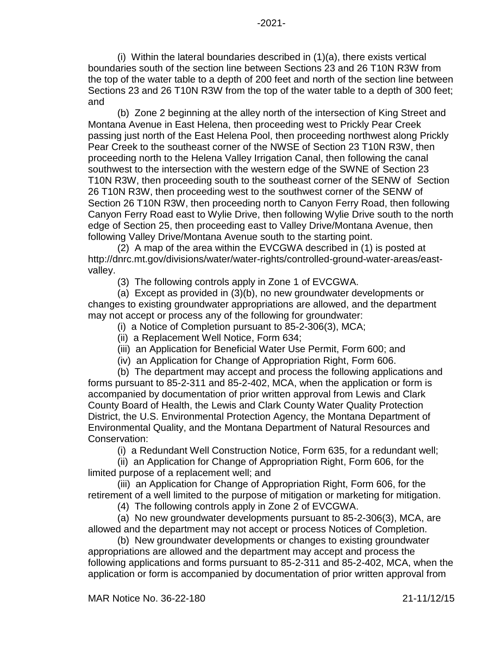(i) Within the lateral boundaries described in (1)(a), there exists vertical boundaries south of the section line between Sections 23 and 26 T10N R3W from the top of the water table to a depth of 200 feet and north of the section line between Sections 23 and 26 T10N R3W from the top of the water table to a depth of 300 feet; and

(b) Zone 2 beginning at the alley north of the intersection of King Street and Montana Avenue in East Helena, then proceeding west to Prickly Pear Creek passing just north of the East Helena Pool, then proceeding northwest along Prickly Pear Creek to the southeast corner of the NWSE of Section 23 T10N R3W, then proceeding north to the Helena Valley Irrigation Canal, then following the canal southwest to the intersection with the western edge of the SWNE of Section 23 T10N R3W, then proceeding south to the southeast corner of the SENW of Section 26 T10N R3W, then proceeding west to the southwest corner of the SENW of Section 26 T10N R3W, then proceeding north to Canyon Ferry Road, then following Canyon Ferry Road east to Wylie Drive, then following Wylie Drive south to the north edge of Section 25, then proceeding east to Valley Drive/Montana Avenue, then following Valley Drive/Montana Avenue south to the starting point.

(2) A map of the area within the EVCGWA described in (1) is posted at http://dnrc.mt.gov/divisions/water/water-rights/controlled-ground-water-areas/eastvalley.

(3) The following controls apply in Zone 1 of EVCGWA.

(a) Except as provided in (3)(b), no new groundwater developments or changes to existing groundwater appropriations are allowed, and the department may not accept or process any of the following for groundwater:

(i) a Notice of Completion pursuant to 85-2-306(3), MCA;

- (ii) a Replacement Well Notice, Form 634;
- (iii) an Application for Beneficial Water Use Permit, Form 600; and
- (iv) an Application for Change of Appropriation Right, Form 606.

(b) The department may accept and process the following applications and forms pursuant to 85-2-311 and 85-2-402, MCA, when the application or form is accompanied by documentation of prior written approval from Lewis and Clark County Board of Health, the Lewis and Clark County Water Quality Protection District, the U.S. Environmental Protection Agency, the Montana Department of Environmental Quality, and the Montana Department of Natural Resources and Conservation:

(i) a Redundant Well Construction Notice, Form 635, for a redundant well;

(ii) an Application for Change of Appropriation Right, Form 606, for the limited purpose of a replacement well; and

(iii) an Application for Change of Appropriation Right, Form 606, for the retirement of a well limited to the purpose of mitigation or marketing for mitigation.

(4) The following controls apply in Zone 2 of EVCGWA.

(a) No new groundwater developments pursuant to 85-2-306(3), MCA, are allowed and the department may not accept or process Notices of Completion.

(b) New groundwater developments or changes to existing groundwater appropriations are allowed and the department may accept and process the following applications and forms pursuant to 85-2-311 and 85-2-402, MCA, when the application or form is accompanied by documentation of prior written approval from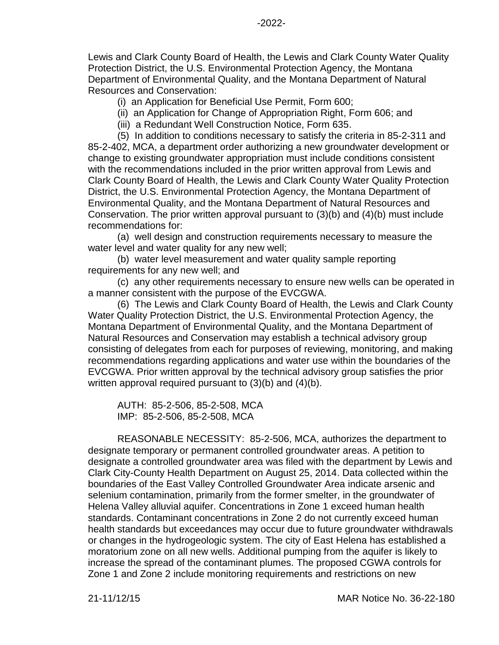Lewis and Clark County Board of Health, the Lewis and Clark County Water Quality Protection District, the U.S. Environmental Protection Agency, the Montana Department of Environmental Quality, and the Montana Department of Natural Resources and Conservation:

(i) an Application for Beneficial Use Permit, Form 600;

- (ii) an Application for Change of Appropriation Right, Form 606; and
- (iii) a Redundant Well Construction Notice, Form 635.

(5) In addition to conditions necessary to satisfy the criteria in 85-2-311 and 85-2-402, MCA, a department order authorizing a new groundwater development or change to existing groundwater appropriation must include conditions consistent with the recommendations included in the prior written approval from Lewis and Clark County Board of Health, the Lewis and Clark County Water Quality Protection District, the U.S. Environmental Protection Agency, the Montana Department of Environmental Quality, and the Montana Department of Natural Resources and Conservation. The prior written approval pursuant to (3)(b) and (4)(b) must include recommendations for:

(a) well design and construction requirements necessary to measure the water level and water quality for any new well;

(b) water level measurement and water quality sample reporting requirements for any new well; and

(c) any other requirements necessary to ensure new wells can be operated in a manner consistent with the purpose of the EVCGWA.

(6) The Lewis and Clark County Board of Health, the Lewis and Clark County Water Quality Protection District, the U.S. Environmental Protection Agency, the Montana Department of Environmental Quality, and the Montana Department of Natural Resources and Conservation may establish a technical advisory group consisting of delegates from each for purposes of reviewing, monitoring, and making recommendations regarding applications and water use within the boundaries of the EVCGWA. Prior written approval by the technical advisory group satisfies the prior written approval required pursuant to (3)(b) and (4)(b).

AUTH: 85-2-506, 85-2-508, MCA IMP: 85-2-506, 85-2-508, MCA

REASONABLE NECESSITY: 85-2-506, MCA, authorizes the department to designate temporary or permanent controlled groundwater areas. A petition to designate a controlled groundwater area was filed with the department by Lewis and Clark City-County Health Department on August 25, 2014. Data collected within the boundaries of the East Valley Controlled Groundwater Area indicate arsenic and selenium contamination, primarily from the former smelter, in the groundwater of Helena Valley alluvial aquifer. Concentrations in Zone 1 exceed human health standards. Contaminant concentrations in Zone 2 do not currently exceed human health standards but exceedances may occur due to future groundwater withdrawals or changes in the hydrogeologic system. The city of East Helena has established a moratorium zone on all new wells. Additional pumping from the aquifer is likely to increase the spread of the contaminant plumes. The proposed CGWA controls for Zone 1 and Zone 2 include monitoring requirements and restrictions on new